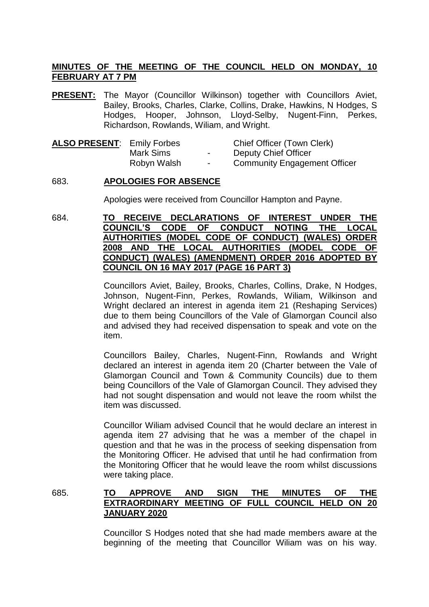# **MINUTES OF THE MEETING OF THE COUNCIL HELD ON MONDAY, 10 FEBRUARY AT 7 PM**

**PRESENT:** The Mayor (Councillor Wilkinson) together with Councillors Aviet, Bailey, Brooks, Charles, Clarke, Collins, Drake, Hawkins, N Hodges, S Hodges, Hooper, Johnson, Lloyd-Selby, Nugent-Finn, Perkes, Richardson, Rowlands, Wiliam, and Wright.

| <b>ALSO PRESENT: Emily Forbes</b> |             |                          | Chief Officer (Town Clerk)          |
|-----------------------------------|-------------|--------------------------|-------------------------------------|
|                                   | Mark Sims   | $\overline{\phantom{a}}$ | Deputy Chief Officer                |
|                                   | Robyn Walsh | $\sim$                   | <b>Community Engagement Officer</b> |

### 683. **APOLOGIES FOR ABSENCE**

Apologies were received from Councillor Hampton and Payne.

684. **TO RECEIVE DECLARATIONS OF INTEREST UNDER THE COUNCIL'S CODE OF CONDUCT NOTING THE LOCAL AUTHORITIES (MODEL CODE OF CONDUCT) (WALES) ORDER 2008 AND THE LOCAL AUTHORITIES (MODEL CODE OF CONDUCT) (WALES) (AMENDMENT) ORDER 2016 ADOPTED BY COUNCIL ON 16 MAY 2017 (PAGE 16 PART 3)**

> Councillors Aviet, Bailey, Brooks, Charles, Collins, Drake, N Hodges, Johnson, Nugent-Finn, Perkes, Rowlands, Wiliam, Wilkinson and Wright declared an interest in agenda item 21 (Reshaping Services) due to them being Councillors of the Vale of Glamorgan Council also and advised they had received dispensation to speak and vote on the item.

> Councillors Bailey, Charles, Nugent-Finn, Rowlands and Wright declared an interest in agenda item 20 (Charter between the Vale of Glamorgan Council and Town & Community Councils) due to them being Councillors of the Vale of Glamorgan Council. They advised they had not sought dispensation and would not leave the room whilst the item was discussed.

> Councillor Wiliam advised Council that he would declare an interest in agenda item 27 advising that he was a member of the chapel in question and that he was in the process of seeking dispensation from the Monitoring Officer. He advised that until he had confirmation from the Monitoring Officer that he would leave the room whilst discussions were taking place.

685. **TO APPROVE AND SIGN THE MINUTES OF THE EXTRAORDINARY MEETING OF FULL COUNCIL HELD ON 20 JANUARY 2020**

> Councillor S Hodges noted that she had made members aware at the beginning of the meeting that Councillor Wiliam was on his way.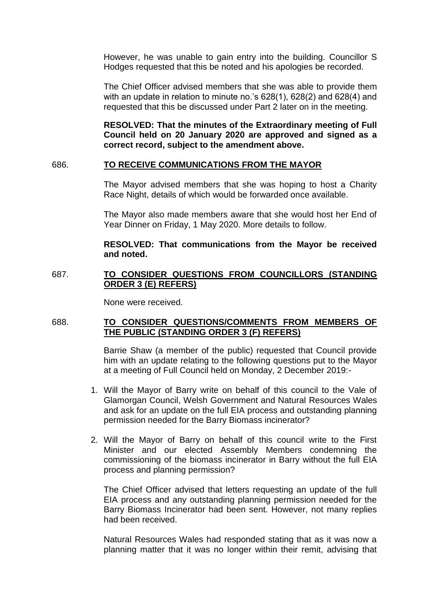However, he was unable to gain entry into the building. Councillor S Hodges requested that this be noted and his apologies be recorded.

The Chief Officer advised members that she was able to provide them with an update in relation to minute no.'s 628(1), 628(2) and 628(4) and requested that this be discussed under Part 2 later on in the meeting.

**RESOLVED: That the minutes of the Extraordinary meeting of Full Council held on 20 January 2020 are approved and signed as a correct record, subject to the amendment above.**

### 686. **TO RECEIVE COMMUNICATIONS FROM THE MAYOR**

The Mayor advised members that she was hoping to host a Charity Race Night, details of which would be forwarded once available.

The Mayor also made members aware that she would host her End of Year Dinner on Friday, 1 May 2020. More details to follow.

### **RESOLVED: That communications from the Mayor be received and noted.**

# 687. **TO CONSIDER QUESTIONS FROM COUNCILLORS (STANDING ORDER 3 (E) REFERS)**

None were received.

# 688. **TO CONSIDER QUESTIONS/COMMENTS FROM MEMBERS OF THE PUBLIC (STANDING ORDER 3 (F) REFERS)**

Barrie Shaw (a member of the public) requested that Council provide him with an update relating to the following questions put to the Mayor at a meeting of Full Council held on Monday, 2 December 2019:-

- 1. Will the Mayor of Barry write on behalf of this council to the Vale of Glamorgan Council, Welsh Government and Natural Resources Wales and ask for an update on the full EIA process and outstanding planning permission needed for the Barry Biomass incinerator?
- 2. Will the Mayor of Barry on behalf of this council write to the First Minister and our elected Assembly Members condemning the commissioning of the biomass incinerator in Barry without the full EIA process and planning permission?

The Chief Officer advised that letters requesting an update of the full EIA process and any outstanding planning permission needed for the Barry Biomass Incinerator had been sent. However, not many replies had been received.

Natural Resources Wales had responded stating that as it was now a planning matter that it was no longer within their remit, advising that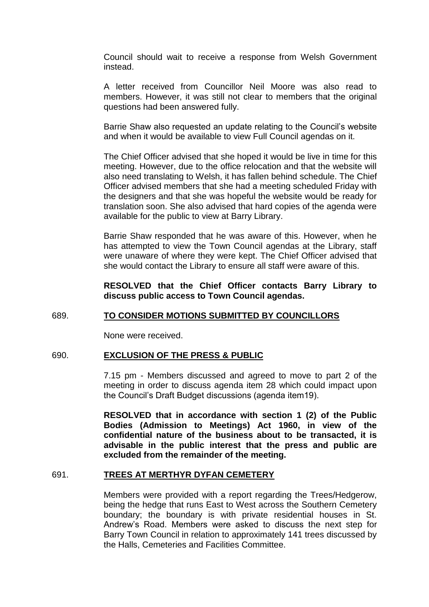Council should wait to receive a response from Welsh Government instead.

A letter received from Councillor Neil Moore was also read to members. However, it was still not clear to members that the original questions had been answered fully.

Barrie Shaw also requested an update relating to the Council's website and when it would be available to view Full Council agendas on it.

The Chief Officer advised that she hoped it would be live in time for this meeting. However, due to the office relocation and that the website will also need translating to Welsh, it has fallen behind schedule. The Chief Officer advised members that she had a meeting scheduled Friday with the designers and that she was hopeful the website would be ready for translation soon. She also advised that hard copies of the agenda were available for the public to view at Barry Library.

Barrie Shaw responded that he was aware of this. However, when he has attempted to view the Town Council agendas at the Library, staff were unaware of where they were kept. The Chief Officer advised that she would contact the Library to ensure all staff were aware of this.

**RESOLVED that the Chief Officer contacts Barry Library to discuss public access to Town Council agendas.**

#### 689. **TO CONSIDER MOTIONS SUBMITTED BY COUNCILLORS**

None were received.

#### 690. **EXCLUSION OF THE PRESS & PUBLIC**

7.15 pm - Members discussed and agreed to move to part 2 of the meeting in order to discuss agenda item 28 which could impact upon the Council's Draft Budget discussions (agenda item19).

**RESOLVED that in accordance with section 1 (2) of the Public Bodies (Admission to Meetings) Act 1960, in view of the confidential nature of the business about to be transacted, it is advisable in the public interest that the press and public are excluded from the remainder of the meeting.**

### 691. **TREES AT MERTHYR DYFAN CEMETERY**

Members were provided with a report regarding the Trees/Hedgerow, being the hedge that runs East to West across the Southern Cemetery boundary; the boundary is with private residential houses in St. Andrew's Road. Members were asked to discuss the next step for Barry Town Council in relation to approximately 141 trees discussed by the Halls, Cemeteries and Facilities Committee.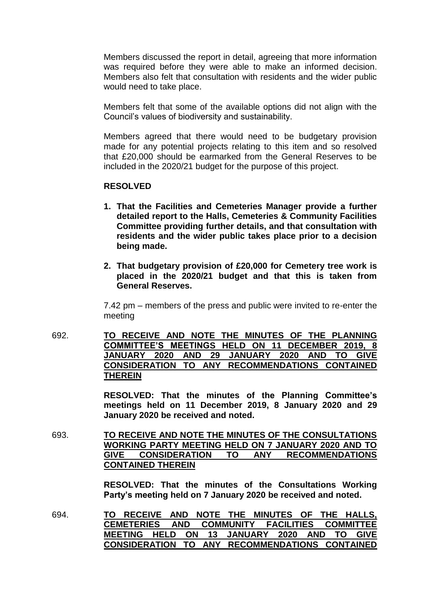Members discussed the report in detail, agreeing that more information was required before they were able to make an informed decision. Members also felt that consultation with residents and the wider public would need to take place.

Members felt that some of the available options did not align with the Council's values of biodiversity and sustainability.

Members agreed that there would need to be budgetary provision made for any potential projects relating to this item and so resolved that £20,000 should be earmarked from the General Reserves to be included in the 2020/21 budget for the purpose of this project.

### **RESOLVED**

- **1. That the Facilities and Cemeteries Manager provide a further detailed report to the Halls, Cemeteries & Community Facilities Committee providing further details, and that consultation with residents and the wider public takes place prior to a decision being made.**
- **2. That budgetary provision of £20,000 for Cemetery tree work is placed in the 2020/21 budget and that this is taken from General Reserves.**

7.42 pm – members of the press and public were invited to re-enter the meeting

692. **TO RECEIVE AND NOTE THE MINUTES OF THE PLANNING COMMITTEE'S MEETINGS HELD ON 11 DECEMBER 2019, 8 JANUARY 2020 AND 29 JANUARY 2020 AND TO GIVE CONSIDERATION TO ANY RECOMMENDATIONS CONTAINED THEREIN**

> **RESOLVED: That the minutes of the Planning Committee's meetings held on 11 December 2019, 8 January 2020 and 29 January 2020 be received and noted.**

693. **TO RECEIVE AND NOTE THE MINUTES OF THE CONSULTATIONS WORKING PARTY MEETING HELD ON 7 JANUARY 2020 AND TO GIVE CONSIDERATION TO ANY RECOMMENDATIONS CONTAINED THEREIN** 

> **RESOLVED: That the minutes of the Consultations Working Party's meeting held on 7 January 2020 be received and noted.**

694. **TO RECEIVE AND NOTE THE MINUTES OF THE HALLS, CEMETERIES AND COMMUNITY FACILITIES COMMITTEE MEETING HELD ON 13 JANUARY 2020 AND TO GIVE CONSIDERATION TO ANY RECOMMENDATIONS CONTAINED**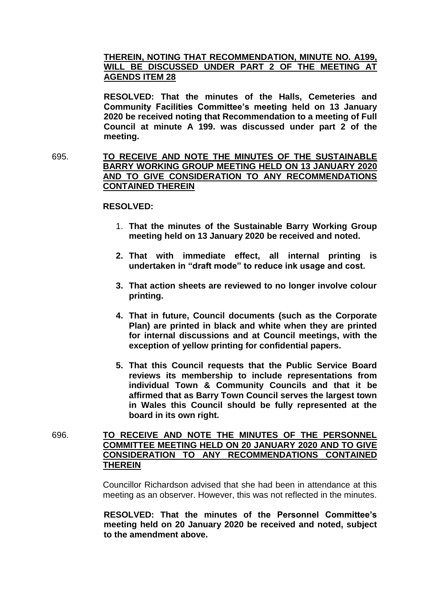# **THEREIN, NOTING THAT RECOMMENDATION, MINUTE NO. A199, WILL BE DISCUSSED UNDER PART 2 OF THE MEETING AT AGENDS ITEM 28**

**RESOLVED: That the minutes of the Halls, Cemeteries and Community Facilities Committee's meeting held on 13 January 2020 be received noting that Recommendation to a meeting of Full Council at minute A 199. was discussed under part 2 of the meeting.**

695. **TO RECEIVE AND NOTE THE MINUTES OF THE SUSTAINABLE BARRY WORKING GROUP MEETING HELD ON 13 JANUARY 2020 AND TO GIVE CONSIDERATION TO ANY RECOMMENDATIONS CONTAINED THEREIN**

#### **RESOLVED:**

- 1. **That the minutes of the Sustainable Barry Working Group meeting held on 13 January 2020 be received and noted.**
- **2. That with immediate effect, all internal printing is undertaken in "draft mode" to reduce ink usage and cost.**
- **3. That action sheets are reviewed to no longer involve colour printing.**
- **4. That in future, Council documents (such as the Corporate Plan) are printed in black and white when they are printed for internal discussions and at Council meetings, with the exception of yellow printing for confidential papers.**
- **5. That this Council requests that the Public Service Board reviews its membership to include representations from individual Town & Community Councils and that it be affirmed that as Barry Town Council serves the largest town in Wales this Council should be fully represented at the board in its own right.**
- 696. **TO RECEIVE AND NOTE THE MINUTES OF THE PERSONNEL COMMITTEE MEETING HELD ON 20 JANUARY 2020 AND TO GIVE CONSIDERATION TO ANY RECOMMENDATIONS CONTAINED THEREIN**

Councillor Richardson advised that she had been in attendance at this meeting as an observer. However, this was not reflected in the minutes.

**RESOLVED: That the minutes of the Personnel Committee's meeting held on 20 January 2020 be received and noted, subject to the amendment above.**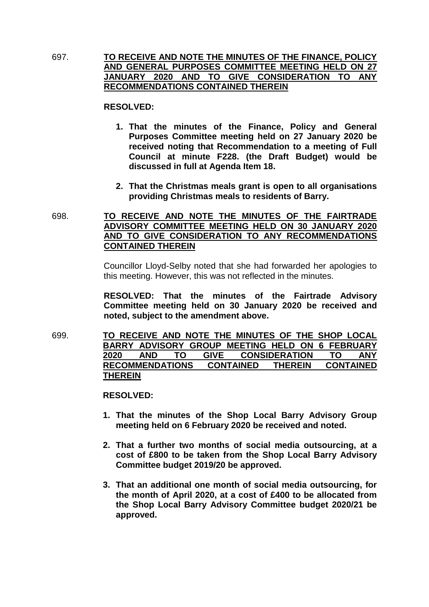697. **TO RECEIVE AND NOTE THE MINUTES OF THE FINANCE, POLICY AND GENERAL PURPOSES COMMITTEE MEETING HELD ON 27 JANUARY 2020 AND TO GIVE CONSIDERATION TO ANY RECOMMENDATIONS CONTAINED THEREIN**

### **RESOLVED:**

- **1. That the minutes of the Finance, Policy and General Purposes Committee meeting held on 27 January 2020 be received noting that Recommendation to a meeting of Full Council at minute F228. (the Draft Budget) would be discussed in full at Agenda Item 18.**
- **2. That the Christmas meals grant is open to all organisations providing Christmas meals to residents of Barry.**
- 698. **TO RECEIVE AND NOTE THE MINUTES OF THE FAIRTRADE ADVISORY COMMITTEE MEETING HELD ON 30 JANUARY 2020 AND TO GIVE CONSIDERATION TO ANY RECOMMENDATIONS CONTAINED THEREIN**

Councillor Lloyd-Selby noted that she had forwarded her apologies to this meeting. However, this was not reflected in the minutes.

**RESOLVED: That the minutes of the Fairtrade Advisory Committee meeting held on 30 January 2020 be received and noted, subject to the amendment above.**

699. **TO RECEIVE AND NOTE THE MINUTES OF THE SHOP LOCAL BARRY ADVISORY GROUP MEETING HELD ON 6 FEBRUARY 2020 AND TO GIVE CONSIDERATION TO ANY RECOMMENDATIONS CONTAINED THEREIN CONTAINED THEREIN**

### **RESOLVED:**

- **1. That the minutes of the Shop Local Barry Advisory Group meeting held on 6 February 2020 be received and noted.**
- **2. That a further two months of social media outsourcing, at a cost of £800 to be taken from the Shop Local Barry Advisory Committee budget 2019/20 be approved.**
- **3. That an additional one month of social media outsourcing, for the month of April 2020, at a cost of £400 to be allocated from the Shop Local Barry Advisory Committee budget 2020/21 be approved.**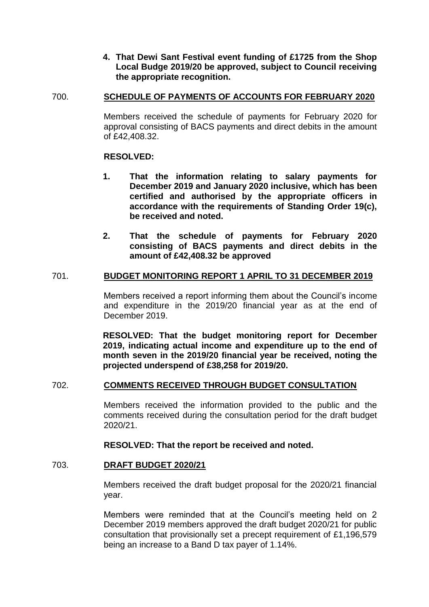**4. That Dewi Sant Festival event funding of £1725 from the Shop Local Budge 2019/20 be approved, subject to Council receiving the appropriate recognition.**

# 700. **SCHEDULE OF PAYMENTS OF ACCOUNTS FOR FEBRUARY 2020**

Members received the schedule of payments for February 2020 for approval consisting of BACS payments and direct debits in the amount of £42,408.32.

# **RESOLVED:**

- **1. That the information relating to salary payments for December 2019 and January 2020 inclusive, which has been certified and authorised by the appropriate officers in accordance with the requirements of Standing Order 19(c), be received and noted.**
- **2. That the schedule of payments for February 2020 consisting of BACS payments and direct debits in the amount of £42,408.32 be approved**

# 701. **BUDGET MONITORING REPORT 1 APRIL TO 31 DECEMBER 2019**

Members received a report informing them about the Council's income and expenditure in the 2019/20 financial year as at the end of December 2019.

**RESOLVED: That the budget monitoring report for December 2019, indicating actual income and expenditure up to the end of month seven in the 2019/20 financial year be received, noting the projected underspend of £38,258 for 2019/20.**

# 702. **COMMENTS RECEIVED THROUGH BUDGET CONSULTATION**

Members received the information provided to the public and the comments received during the consultation period for the draft budget 2020/21.

# **RESOLVED: That the report be received and noted.**

### 703. **DRAFT BUDGET 2020/21**

Members received the draft budget proposal for the 2020/21 financial year.

Members were reminded that at the Council's meeting held on 2 December 2019 members approved the draft budget 2020/21 for public consultation that provisionally set a precept requirement of £1,196,579 being an increase to a Band D tax payer of 1.14%.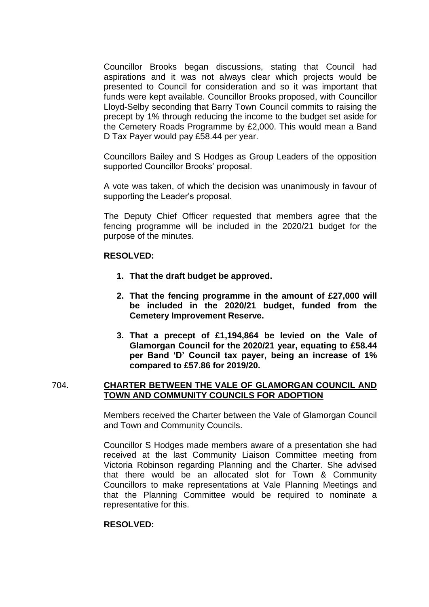Councillor Brooks began discussions, stating that Council had aspirations and it was not always clear which projects would be presented to Council for consideration and so it was important that funds were kept available. Councillor Brooks proposed, with Councillor Lloyd-Selby seconding that Barry Town Council commits to raising the precept by 1% through reducing the income to the budget set aside for the Cemetery Roads Programme by £2,000. This would mean a Band D Tax Payer would pay £58.44 per year.

Councillors Bailey and S Hodges as Group Leaders of the opposition supported Councillor Brooks' proposal.

A vote was taken, of which the decision was unanimously in favour of supporting the Leader's proposal.

The Deputy Chief Officer requested that members agree that the fencing programme will be included in the 2020/21 budget for the purpose of the minutes.

### **RESOLVED:**

- **1. That the draft budget be approved.**
- **2. That the fencing programme in the amount of £27,000 will be included in the 2020/21 budget, funded from the Cemetery Improvement Reserve.**
- **3. That a precept of £1,194,864 be levied on the Vale of Glamorgan Council for the 2020/21 year, equating to £58.44 per Band 'D' Council tax payer, being an increase of 1% compared to £57.86 for 2019/20.**

# 704. **CHARTER BETWEEN THE VALE OF GLAMORGAN COUNCIL AND TOWN AND COMMUNITY COUNCILS FOR ADOPTION**

Members received the Charter between the Vale of Glamorgan Council and Town and Community Councils.

Councillor S Hodges made members aware of a presentation she had received at the last Community Liaison Committee meeting from Victoria Robinson regarding Planning and the Charter. She advised that there would be an allocated slot for Town & Community Councillors to make representations at Vale Planning Meetings and that the Planning Committee would be required to nominate a representative for this.

### **RESOLVED:**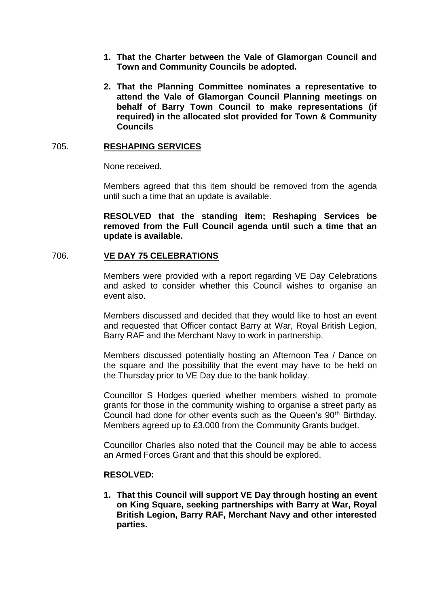- **1. That the Charter between the Vale of Glamorgan Council and Town and Community Councils be adopted.**
- **2. That the Planning Committee nominates a representative to attend the Vale of Glamorgan Council Planning meetings on behalf of Barry Town Council to make representations (if required) in the allocated slot provided for Town & Community Councils**

# 705. **RESHAPING SERVICES**

None received.

Members agreed that this item should be removed from the agenda until such a time that an update is available.

**RESOLVED that the standing item; Reshaping Services be removed from the Full Council agenda until such a time that an update is available.**

# 706. **VE DAY 75 CELEBRATIONS**

Members were provided with a report regarding VE Day Celebrations and asked to consider whether this Council wishes to organise an event also.

Members discussed and decided that they would like to host an event and requested that Officer contact Barry at War, Royal British Legion, Barry RAF and the Merchant Navy to work in partnership.

Members discussed potentially hosting an Afternoon Tea / Dance on the square and the possibility that the event may have to be held on the Thursday prior to VE Day due to the bank holiday.

Councillor S Hodges queried whether members wished to promote grants for those in the community wishing to organise a street party as Council had done for other events such as the Queen's 90<sup>th</sup> Birthday. Members agreed up to £3,000 from the Community Grants budget.

Councillor Charles also noted that the Council may be able to access an Armed Forces Grant and that this should be explored.

### **RESOLVED:**

**1. That this Council will support VE Day through hosting an event on King Square, seeking partnerships with Barry at War, Royal British Legion, Barry RAF, Merchant Navy and other interested parties.**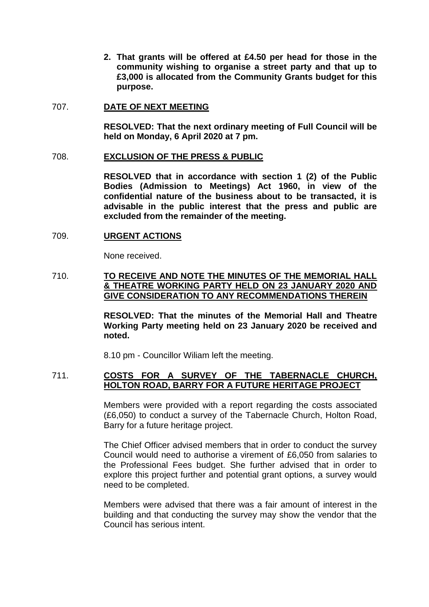**2. That grants will be offered at £4.50 per head for those in the community wishing to organise a street party and that up to £3,000 is allocated from the Community Grants budget for this purpose.**

### 707. **DATE OF NEXT MEETING**

**RESOLVED: That the next ordinary meeting of Full Council will be held on Monday, 6 April 2020 at 7 pm.**

# 708. **EXCLUSION OF THE PRESS & PUBLIC**

**RESOLVED that in accordance with section 1 (2) of the Public Bodies (Admission to Meetings) Act 1960, in view of the confidential nature of the business about to be transacted, it is advisable in the public interest that the press and public are excluded from the remainder of the meeting.**

# 709. **URGENT ACTIONS**

None received.

# 710. **TO RECEIVE AND NOTE THE MINUTES OF THE MEMORIAL HALL & THEATRE WORKING PARTY HELD ON 23 JANUARY 2020 AND GIVE CONSIDERATION TO ANY RECOMMENDATIONS THEREIN**

**RESOLVED: That the minutes of the Memorial Hall and Theatre Working Party meeting held on 23 January 2020 be received and noted.**

8.10 pm - Councillor Wiliam left the meeting.

# 711. **COSTS FOR A SURVEY OF THE TABERNACLE CHURCH, HOLTON ROAD, BARRY FOR A FUTURE HERITAGE PROJECT**

Members were provided with a report regarding the costs associated (£6,050) to conduct a survey of the Tabernacle Church, Holton Road, Barry for a future heritage project.

The Chief Officer advised members that in order to conduct the survey Council would need to authorise a virement of £6,050 from salaries to the Professional Fees budget. She further advised that in order to explore this project further and potential grant options, a survey would need to be completed.

Members were advised that there was a fair amount of interest in the building and that conducting the survey may show the vendor that the Council has serious intent.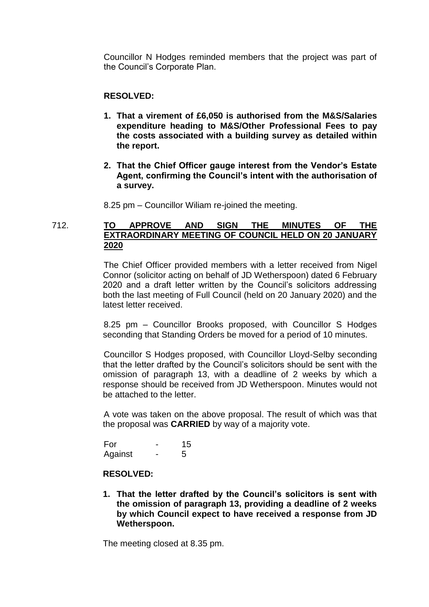Councillor N Hodges reminded members that the project was part of the Council's Corporate Plan.

# **RESOLVED:**

- **1. That a virement of £6,050 is authorised from the M&S/Salaries expenditure heading to M&S/Other Professional Fees to pay the costs associated with a building survey as detailed within the report.**
- **2. That the Chief Officer gauge interest from the Vendor's Estate Agent, confirming the Council's intent with the authorisation of a survey.**

8.25 pm – Councillor Wiliam re-joined the meeting.

# 712. **TO APPROVE AND SIGN THE MINUTES OF THE EXTRAORDINARY MEETING OF COUNCIL HELD ON 20 JANUARY 2020**

The Chief Officer provided members with a letter received from Nigel Connor (solicitor acting on behalf of JD Wetherspoon) dated 6 February 2020 and a draft letter written by the Council's solicitors addressing both the last meeting of Full Council (held on 20 January 2020) and the latest letter received.

8.25 pm – Councillor Brooks proposed, with Councillor S Hodges seconding that Standing Orders be moved for a period of 10 minutes.

Councillor S Hodges proposed, with Councillor Lloyd-Selby seconding that the letter drafted by the Council's solicitors should be sent with the omission of paragraph 13, with a deadline of 2 weeks by which a response should be received from JD Wetherspoon. Minutes would not be attached to the letter.

A vote was taken on the above proposal. The result of which was that the proposal was **CARRIED** by way of a majority vote.

For - 15 Against - 5

### **RESOLVED:**

**1. That the letter drafted by the Council's solicitors is sent with the omission of paragraph 13, providing a deadline of 2 weeks by which Council expect to have received a response from JD Wetherspoon.**

The meeting closed at 8.35 pm.